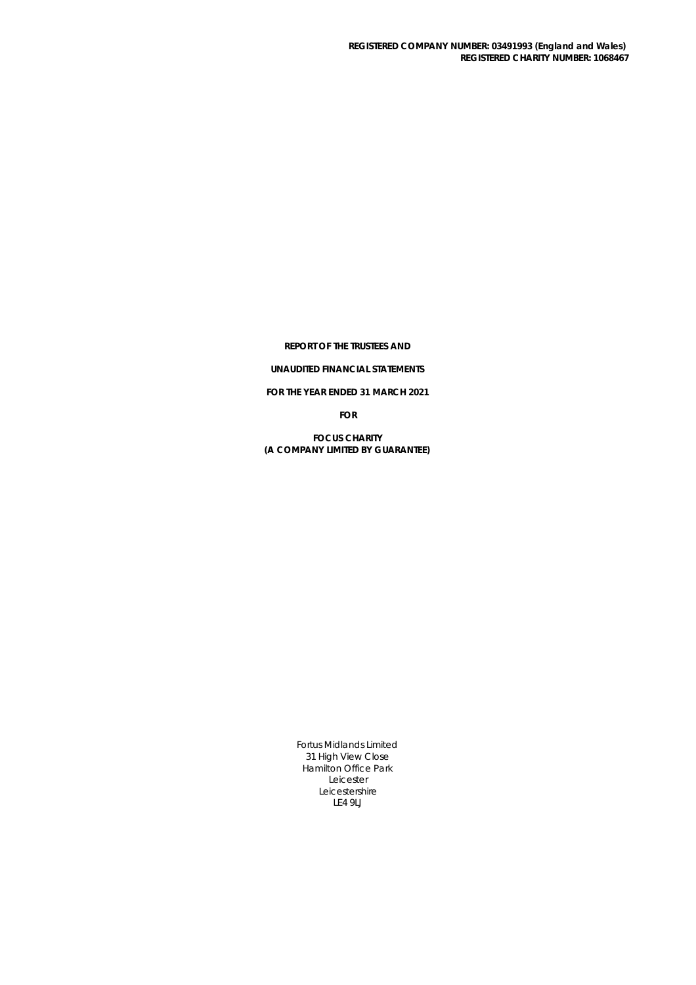**REPORT OF THE TRUSTEES AND**

## **UNAUDITED FINANCIAL STATEMENTS**

**FOR THE YEAR ENDED 31 MARCH 2021**

**FOR**

**FOCUS CHARITY (A COMPANY LIMITED BY GUARANTEE)**

> Fortus Midlands Limited 31 High View Close Hamilton Office Park Leicester Leicestershire LE4 9LJ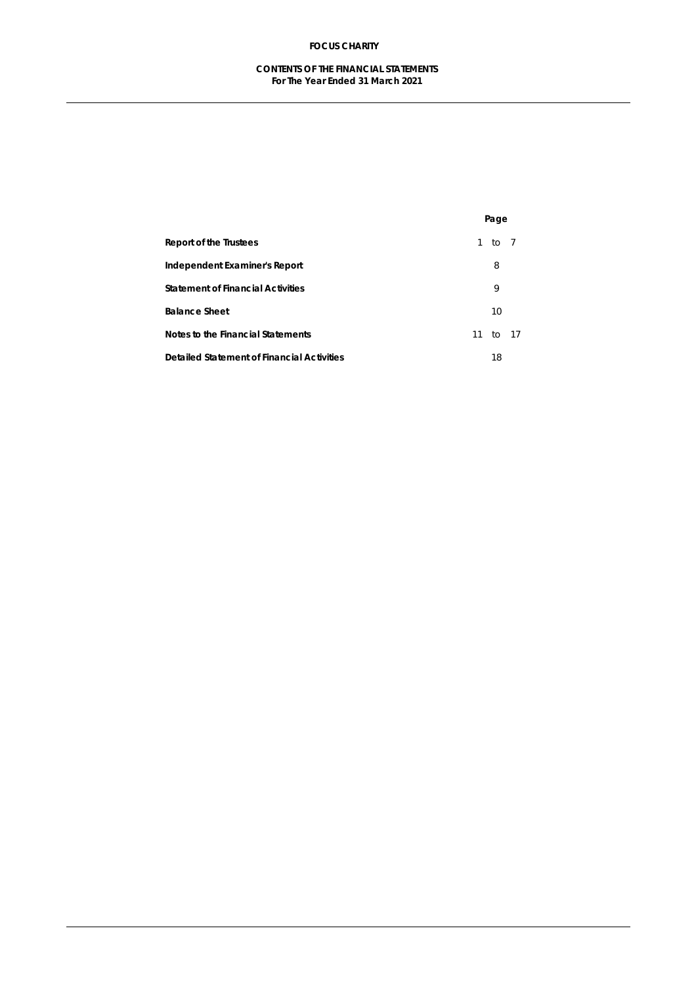## **CONTENTS OF THE FINANCIAL STATEMENTS For The Year Ended 31 March 2021**

|                                                   | Page     |  |
|---------------------------------------------------|----------|--|
| <b>Report of the Trustees</b>                     | 1 to 7   |  |
| <b>Independent Examiner's Report</b>              | 8        |  |
| <b>Statement of Financial Activities</b>          | 9        |  |
| <b>Balance Sheet</b>                              | 10       |  |
| <b>Notes to the Financial Statements</b>          | 11 to 17 |  |
| <b>Detailed Statement of Financial Activities</b> | 18       |  |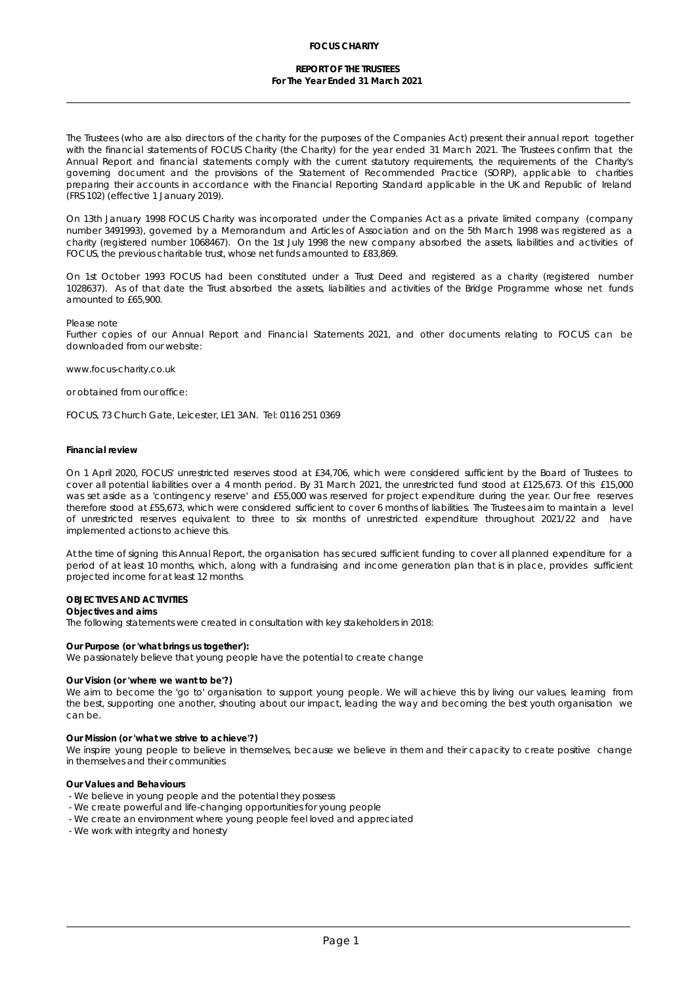### **REPORT OF THE TRUSTEES For The Year Ended 31 March 2021**

The Trustees (who are also directors of the charity for the purposes of the Companies Act) present their annual report together with the financial statements of FOCUS Charity (the Charity) for the year ended 31 March 2021. The Trustees confirm that the Annual Report and financial statements comply with the current statutory requirements, the requirements of the Charity's governing document and the provisions of the Statement of Recommended Practice (SORP), applicable to charities preparing their accounts in accordance with the Financial Reporting Standard applicable in the UK and Republic of Ireland (FRS 102) (effective 1 January 2019).

On 13th January 1998 FOCUS Charity was incorporated under the Companies Act as a private limited company (company number 3491993), governed by a Memorandum and Articles of Association and on the 5th March 1998 was registered as a charity (registered number 1068467). On the 1st July 1998 the new company absorbed the assets, liabilities and activities of FOCUS, the previous charitable trust, whose net funds amounted to £83,869.

On 1st October 1993 FOCUS had been constituted under a Trust Deed and registered as a charity (registered number 1028637). As of that date the Trust absorbed the assets, liabilities and activities of the Bridge Programme whose net funds amounted to £65,900.

#### Please note

Further copies of our Annual Report and Financial Statements 2021, and other documents relating to FOCUS can be downloaded from our website:

www.focus-charity.co.uk

or obtained from our office:

FOCUS, 73 Church Gate, Leicester, LE1 3AN. Tel: 0116 251 0369

#### **Financial review**

On 1 April 2020,FOCUS' unrestricted reserves stood at £34,706, which were considered sufficient by the Board of Trustees to cover all potential liabilities over a 4 month period. By 31 March 2021, the unrestricted fund stood at £125,673. Of this £15,000 was set aside as a 'contingency reserve' and £55,000 was reserved for project expenditure during the year. Our free reserves therefore stood at £55,673, which were considered sufficient to cover 6 months of liabilities. The Trustees aim to maintain a level of unrestricted reserves equivalent to three to six months of unrestricted expenditure throughout 2021/22 and have implemented actions to achieve this.

At the time of signing this Annual Report, the organisation has secured sufficient funding to cover all planned expenditure for a period of at least 10 months, which, along with a fundraising and income generation plan that is in place, provides sufficient projected income for at least 12 months.

**OBJECTIVES AND ACTIVITIES**

**Objectives and aims** The following statements were created in consultation with key stakeholders in 2018:

**Our Purpose (or 'what brings us together'):** We passionately believe that young people have the potential to create change

#### **Our Vision (or 'where we want to be'?)**

We aim to become the 'go to' organisation to support young people. We will achieve this by living our values, learning from the best, supporting one another, shouting about our impact, leading the way and becoming the best youth organisation we can be.

**Our Mission (or 'what we strive to achieve'?)**

We inspire young people to believe in themselves, because we believe in them and their capacity to create positive change in themselves and their communities

**Our Values and Behaviours**

- We believe in young people and the potential they possess
- We create powerful and life-changing opportunities for young people
- We create an environment where young people feel loved and appreciated
- We work with integrity and honesty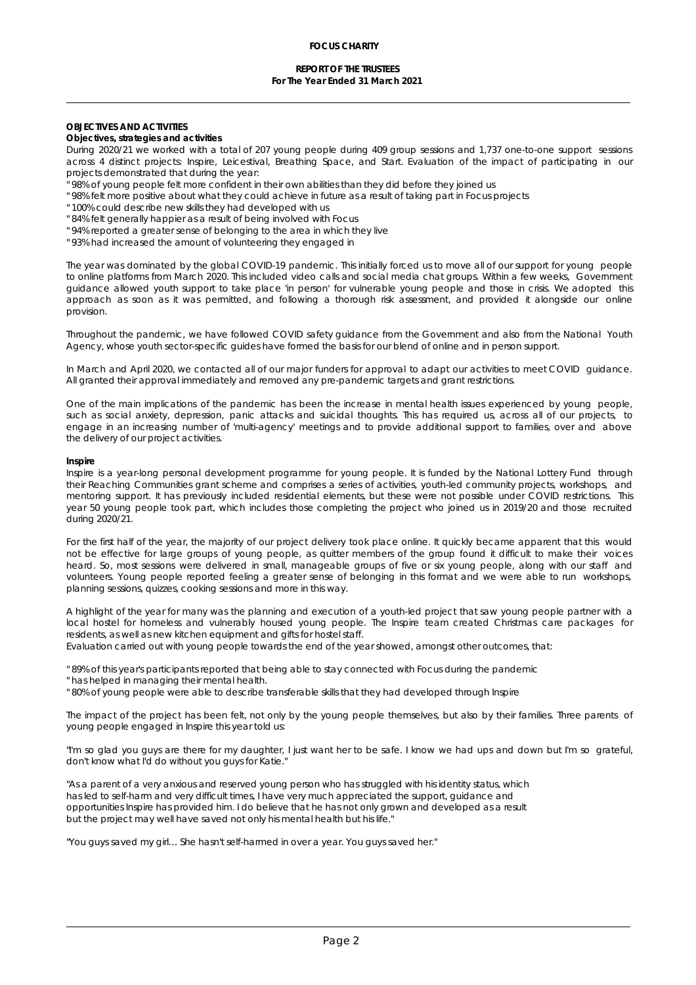### **REPORT OF THE TRUSTEES For The Year Ended 31 March 2021**

## **OBJECTIVES AND ACTIVITIES**

**Objectives, strategies and activities**

During 2020/21 we worked with a total of 207 young people during 409 group sessions and 1,737 one-to-one support sessions across 4 distinct projects: Inspire, Leicestival, Breathing Space, and Start. Evaluation of the impact of participating in our projects demonstrated that during the year:

- " 98% of young people felt more confident in their own abilities than they did before they joined us
- " 98% felt more positive about what they could achieve in future as a result of taking part in Focus projects
- " 100% could describe new skills they had developed with us
- " 84% felt generally happier as a result of being involved with Focus
- " 94% reported a greater sense of belonging to the area in which they live
- " 93% had increased the amount of volunteering they engaged in

The year was dominated by the global COVID-19 pandemic. This initially forced us to move all of our support for young people to online platforms from March 2020. This included video calls and social media chat groups. Within a few weeks, Government guidance allowed youth support to take place 'in person' for vulnerable young people and those in crisis. We adopted this approach as soon as it was permitted, and following a thorough risk assessment, and provided it alongside our online provision.

Throughout the pandemic, we have followed COVID safety guidance from the Government and also from the National Youth Agency, whose youth sector-specific guides have formed the basis for our blend of online and in person support.

In March and April 2020, we contacted all of our major funders forapproval to adapt our activities to meet COVID guidance. All granted their approval immediately and removed any pre-pandemic targets and grant restrictions.

One of the main implications of the pandemic has been the increase in mental health issues experienced by young people, such as social anxiety, depression, panic attacks and suicidal thoughts. This has required us, across all of our projects, to engage in an increasing number of 'multi-agency' meetings and to provide additional support to families, overand above the delivery of our project activities.

#### **Inspire**

Inspire is a year-long personal development programme for young people. It is funded by the National Lottery Fund through their Reaching Communities grant scheme and comprises a series of activities, youth-led community projects, workshops, and mentoring support. It has previously included residential elements, but these were not possible under COVID restrictions. This year 50 young people took part, which includes those completing the project who joined us in 2019/20 and those recruited during 2020/21.

For the first half of the year, the majority of our project delivery took place online. It quickly became apparent that this would not be effective for large groups of young people, as quitter members of the group found it difficult to make their voices heard. So, most sessions were delivered in small, manageable groups offive or six young people, along with our staff and volunteers. Young people reported feeling a greater sense of belonging inthis format and we were able to run workshops, planning sessions, quizzes, cooking sessions and more in this way.

A highlight of the year for many was the planning and execution of a youth-led project that saw young people partner with a local hostel for homeless and vulnerably housed young people. The Inspire team created Christmas care packages for residents, as well as new kitchen equipment and gifts for hostel staff.

Evaluation carried out with young people towards the end of the year showed, amongst other outcomes, that:

" 89% of this year's participants reported that being able to stay connected with Focus during the pandemic

" has helped in managing their mental health.

" 80% of young people were able to describe transferable skills that they had developed through Inspire

The impact of the project has been felt, not only by the young people themselves, but also by their families. Three parents of young people engaged in Inspire this year told us:

"I'm so glad you guys are there for my daughter, I just want her to be safe. I know we had ups and down but I'm so grateful, don't know what I'd do without you guys for Katie."

"As a parent of a very anxious and reserved young person who has struggled with his identity status, which has led to self-harm and very difficult times, I have very much appreciated the support, guidance and opportunities Inspire has provided him. I do believe that he has not only grown and developed as a result but the project may well have saved not only his mental health but his life."

"You guys saved my girl… She hasn't self-harmed in over a year. You guys saved her."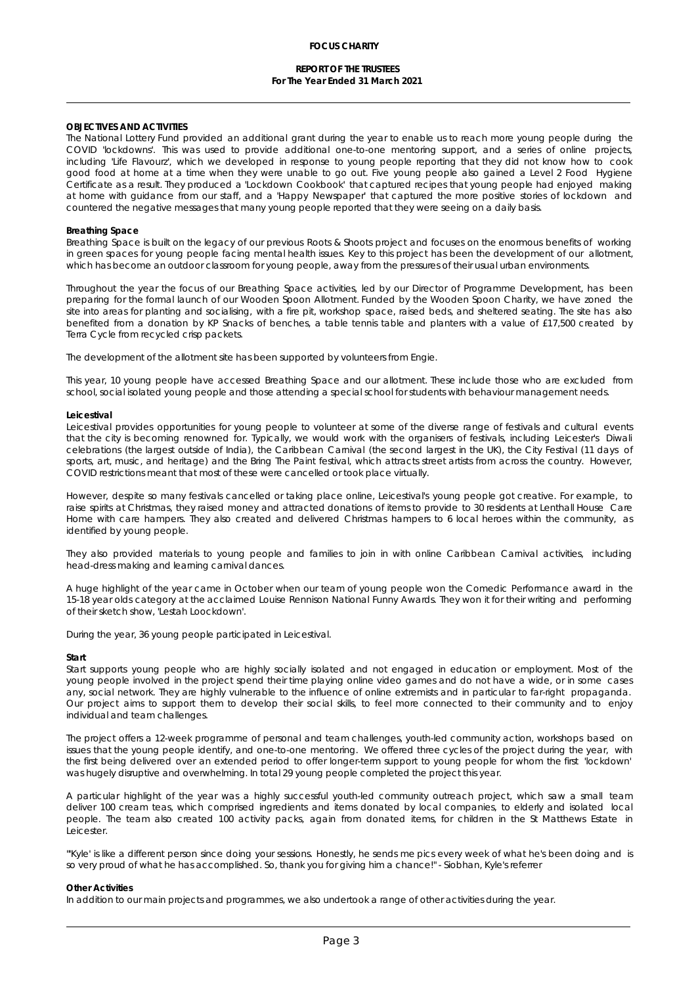## **REPORT OF THE TRUSTEES For The Year Ended 31 March 2021**

#### **OBJECTIVES AND ACTIVITIES**

The National Lottery Fund provided an additional grant during the year to enable usto reach more young people during the COVID 'lockdowns'. This was used to provide additional one-to-one mentoring support, and a series of online projects, including 'Life Flavourz', which we developed in response to young people reporting that they did not know how to cook good food at home at a time when they were unable to go out. Five young people also gained a Level 2 Food Hygiene Certificate as a result. They produced a 'Lockdown Cookbook' that captured recipes that young people had enjoyed making at home with guidance from our staff, and a 'Happy Newspaper' that captured the more positive stories of lockdown and countered the negative messages that many young people reported that they were seeing on a daily basis.

#### **Breathing Space**

Breathing Space is built on the legacy of our previous Roots & Shoots project and focuses on the enormous benefits of working in green spaces for young people facing mental health issues. Key to this project has been the development of our allotment, which has become an outdoor classroom for young people, away from the pressures of their usual urban environments.

Throughout the year the focus of our Breathing Space activities, led by our Director of Programme Development, has been preparing for the formal launch of our Wooden Spoon Allotment. Funded by the Wooden Spoon Charity, we have zoned the site into areas for planting and socialising, with a fire pit, workshop space, raised beds, and sheltered seating. The site has also benefited from a donation by KP Snacks of benches, a table tennis table and planters with a value of £17,500 created by Terra Cycle from recycled crisp packets.

The development of the allotment site has been supported by volunteers from Engie.

This year, 10 young people have accessed Breathing Space and our allotment. These include those who are excluded from school, social isolated young people and those attending a special school for students with behaviour management needs.

#### **Leicestival**

Leicestival provides opportunities for young people to volunteer at some of the diverse range of festivals and cultural events that the city is becoming renowned for. Typically, we would work with the organisers of festivals, including Leicester's Diwali celebrations (the largest outside of India), the Caribbean Carnival (the second largest in the UK), the City Festival (11 days of sports, art, music, and heritage) and the Bring The Paint festival, which attracts street artists from across the country. However, COVID restrictions meant that most of these were cancelled or took place virtually.

However, despite so many festivals cancelled or taking place online, Leicestival's young people got creative. For example, to raise spirits at Christmas, they raised money and attracted donations of items to provide to 30 residents at Lenthall House Care Home with care hampers. They also created and delivered Christmas hampers to 6 local heroes within the community, as identified by young people.

They also provided materials to young people and families to join in with online Caribbean Carnival activities, including head-dress making and learning carnival dances.

A huge highlight of the year came in October when our team of young people won the Comedic Performance award in the 15-18 year olds category at the acclaimed Louise Rennison National Funny Awards. They won it for their writing and performing of their sketch show, 'Lestah Loockdown'.

During the year, 36 young people participated in Leicestival.

### **Start**

Start supports young people who are highly socially isolated and not engaged in education or employment. Most of the young people involved in the project spend their time playing online video games and do not have a wide, or in some cases any, social network. They are highly vulnerable to the influence of online extremists and in particular to far-right propaganda. Our project aims to support them to develop their social skills, to feel more connected to their community and to enjoy individual and team challenges.

The project offers a 12-week programme of personal and team challenges, youth-led community action, workshops based on issues that the young people identify, and one-to-one mentoring. We offered three cycles of the project during the year, with the first being delivered over an extended period to offer longer-term support to young people for whom the first 'lockdown' was hugely disruptive and overwhelming. In total 29 young people completed the project this year.

A particular highlight of the year was a highly successful youth-led community outreach project, which saw a small team deliver 100 cream teas, which comprised ingredients and items donated by local companies, to elderly and isolated local people. The team also created 100 activity packs, again from donated items, for children in the St Matthews Estate in Leicester.

"'Kyle' is like a different person since doing your sessions. Honestly, he sends me pics every week ofwhat he's been doing and is so very proud of what he has accomplished. So, thank you for giving him a chance!" - Siobhan, Kyle's referrer

#### **Other Activities**

In addition to our main projects and programmes, we also undertook a range of other activities during the year.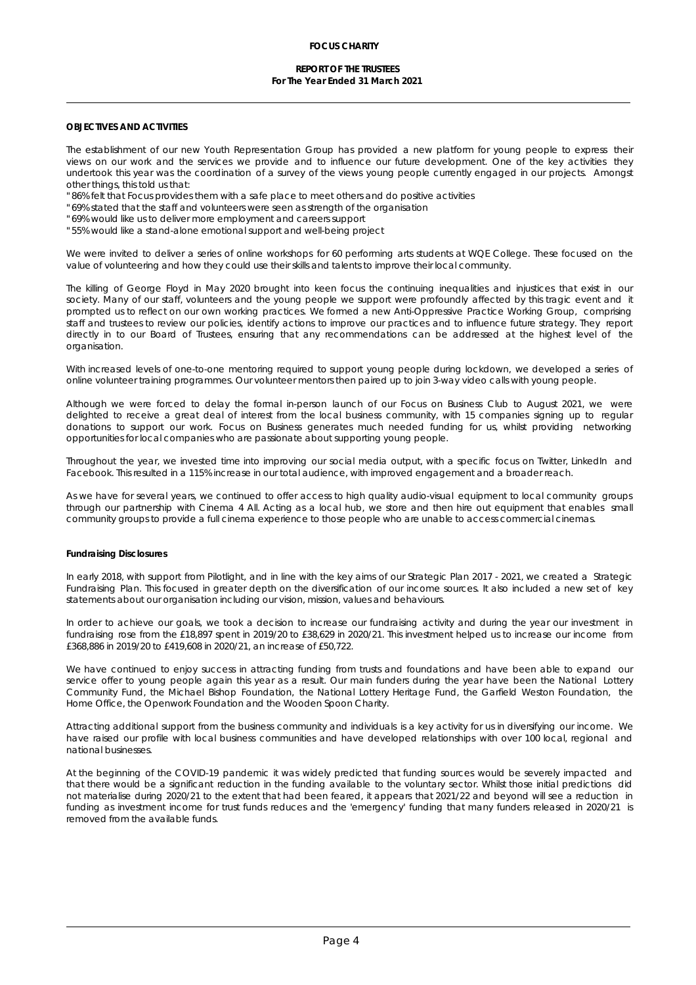### **REPORT OF THE TRUSTEES For The Year Ended 31 March 2021**

## **OBJECTIVES AND ACTIVITIES**

The establishment of our new Youth Representation Group has provided a new platform for young people to express their views on our work and the services we provide and to influence our future development. One of the key activities they undertook this year was the coordination of a survey of the views young people currently engaged in our projects. Amongst other things, this told us that:

" 86% felt that Focus provides them with a safe place to meet others and do positive activities

- " 69% stated that the staff and volunteers were seen as strength of the organisation
- " 69% would like us to deliver more employment and careers support
- " 55% would like a stand-alone emotional support and well-being project

We were invited to deliver a series of online workshops for 60 performing arts students at WQE College. These focused on the value of volunteering and how they could use their skills and talents to improve their local community.

The killing of George Floyd in May 2020 brought into keen focus the continuing inequalities and injustices that exist in our society. Many of our staff, volunteers and the young people we support were profoundly affected by this tragic event and it prompted us to reflect on our own working practices. We formed a new Anti-Oppressive Practice Working Group, comprising staff and trustees to review our policies, identify actions to improve our practices and to influence future strategy. They report directly in to our Board of Trustees, ensuring that any recommendations can be addressed at the highest level of the organisation.

With increased levels of one-to-one mentoring required to support young people during lockdown, we developed a series of online volunteer training programmes. Our volunteer mentors then paired up to join 3-way video calls with young people.

Although we were forced to delay the formal in-person launch of our Focus on Business Club to August 2021, we were delighted to receive a great dealof interest from the local business community, with 15 companies signing up to regular donations to support our work. Focus on Business generates much needed funding for us, whilst providing networking opportunities for local companies who are passionate about supporting young people.

Throughout the year, we invested time into improving our social media output, with a specific focus on Twitter, LinkedIn and Facebook. This resulted in a 115% increase in our total audience, with improved engagement and a broader reach.

As we have for several years, we continued to offer access to high quality audio-visual equipment to local community groups through our partnership with Cinema 4 All. Acting as a local hub, we store and then hire out equipment that enables small community groups to provide a full cinema experience to those people who are unable to access commercial cinemas.

#### **Fundraising Disclosures**

In early 2018, with support from Pilotlight, and in line with the key aims of our Strategic Plan 2017 - 2021, we created a Strategic Fundraising Plan. This focused in greater depth on the diversification of our income sources. It also included a new set of key statements about our organisation including our vision, mission, values and behaviours.

In order to achieve our goals, we took a decision to increase our fundraising activity and during the year our investment in fundraising rose from the £18,897 spent in 2019/20 to £38,629 in 2020/21. This investment helped us to increase our income from £368,886 in 2019/20 to £419,608 in 2020/21, an increase of £50,722.

We have continued to enjoy success in attracting funding from trusts and foundations and have been able to expand our service offer to young people again this year as a result. Our main funders during the year have been the National Lottery Community Fund, the Michael Bishop Foundation, the National Lottery Heritage Fund, the Garfield Weston Foundation, the Home Office, the Openwork Foundation and the Wooden Spoon Charity.

Attracting additional support from the business community and individuals is a key activity for us in diversifying our income. We have raised our profile with local business communities and have developed relationships with over 100 local, regional and national businesses.

At the beginning of the COVID-19 pandemic it was widely predicted that funding sources would be severely impacted and that there would be a significant reduction in the funding available to the voluntary sector. Whilst those initial predictions did not materialise during 2020/21 to the extent that had been feared, it appears that 2021/22 and beyond will see a reduction in funding as investment income for trust funds reduces and the 'emergency' funding that many funders released in 2020/21 is removed from the available funds.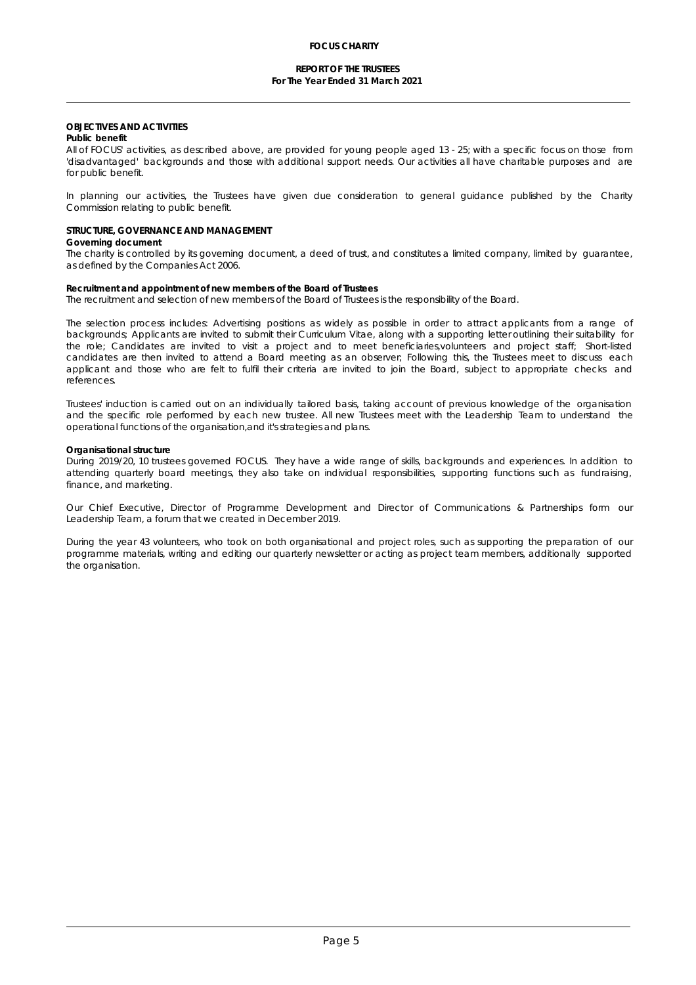### **REPORT OF THE TRUSTEES For The Year Ended 31 March 2021**

### **OBJECTIVES AND ACTIVITIES**

### **Public benefit**

All of FOCUS' activities, as described above, are provided for young people aged 13 - 25; with a specific focus on those from 'disadvantaged' backgrounds and those with additional support needs. Our activities all have charitable purposes and are for public benefit.

In planning our activities, the Trustees have given due consideration to general guidance published by the Charity Commission relating to public benefit.

### **STRUCTURE, GOVERNANCE AND MANAGEMENT**

### **Governing document**

The charity is controlled by its governing document, a deed of trust, and constitutes a limited company, limited by guarantee, as defined by the Companies Act 2006.

### **Recruitment and appointment of new members of the Board of Trustees** The recruitment and selection of new members of the Board of Trustees is the responsibility of the Board.

The selection process includes: Advertising positions as widely as possible in order to attract applicants from a range of backgrounds; Applicants are invited to submit their Curriculum Vitae, along with a supporting letter outlining their suitability for the role; Candidates are invited to visit a project and to meet beneficiaries,volunteers and project staff; Short-listed candidates are then invited to attend a Board meeting as an observer; Following this, the Trustees meet to discuss each applicant and those who are felt to fulfil their criteria are invited to join the Board, subject to appropriate checks and references.

Trustees' induction is carried out on an individually tailored basis, taking account of previous knowledge of the organisation and the specific role performed by each new trustee. All new Trustees meet with the Leadership Team to understand the operational functions of the organisation,and it's strategies and plans.

#### **Organisational structure**

During 2019/20, 10 trustees governed FOCUS. They have a wide range of skills, backgrounds and experiences. In addition to attending quarterly board meetings, they also take on individual responsibilities, supporting functions such as fundraising, finance, and marketing.

Our Chief Executive, Director of Programme Development and Director of Communications & Partnerships form our Leadership Team, a forum that we created in December 2019.

During the year 43 volunteers, who took on both organisational and project roles, such as supporting the preparation of our programme materials, writing and editing our quarterly newsletter or acting as project team members, additionally supported the organisation.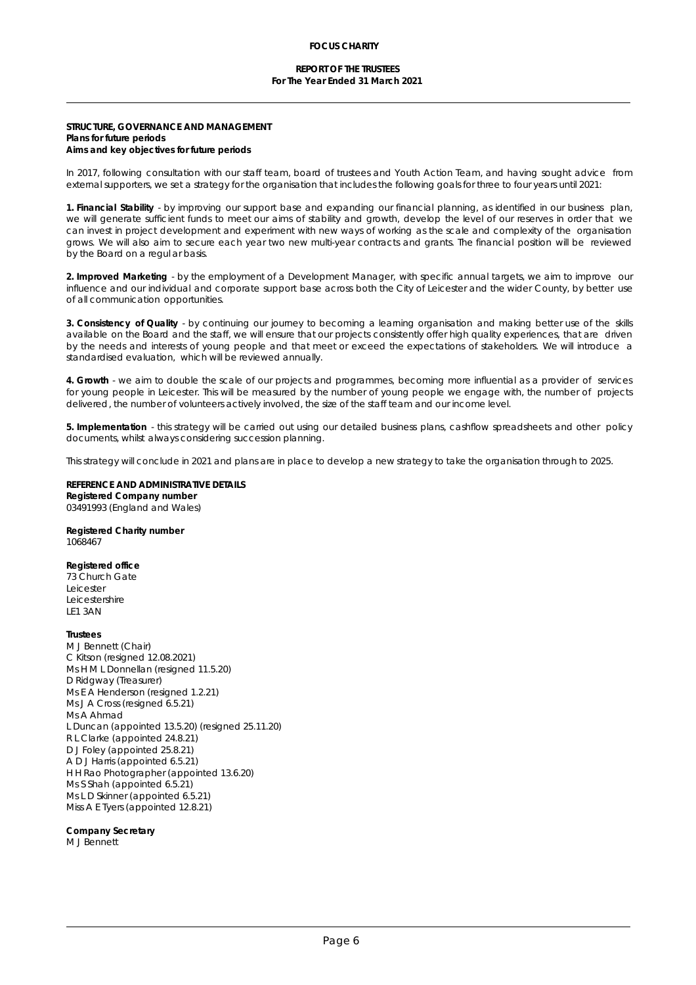## **STRUCTURE, GOVERNANCE AND MANAGEMENT**

**Plans for future periods Aims and key objectives for future periods**

In 2017, following consultation with our staff team, board of trustees and Youth Action Team, and having sought advice from external supporters, we set a strategy for the organisation that includes the following goals for three to four years until 2021:

**1. Financial Stability** - by improving our support base and expanding our financial planning, as identified in our business plan, we will generate sufficient funds to meet our aims of stability and growth, develop the level of our reserves in order that we can invest in project development and experiment with new ways ofworking as the scale and complexity of the organisation grows. We will also aim to secure each year two new multi-year contracts and grants. The financial position will be reviewed by the Board on a regul ar basis.

**2. Improved Marketing** - bythe employment of a Development Manager, with specific annualtargets, we aim to improve our influence and our individual and corporate support base across both the Cityof Leicester and the wider County, by better use of all communication opportunities.

**3. Consistency of Quality** - by continuing our journey to becoming a learning organisation and making betteruse of the skills available on the Board and the staff, we will ensure that our projects consistently offer high quality experiences, that are driven by the needs and interests of young people and that meet or exceed the expectations of stakeholders. We will introduce a standardised evaluation, which will be reviewed annually.

**4. Growth** - we aim to double the scale of our projects and programmes, becoming more influential as a provider of services for young people in Leicester. This will be measured by the number of young people we engage with, the number of projects delivered, the number of volunteers actively involved, the size of the staff team and our income level.

**5. Implementation** - this strategy will be carried out using our detailed business plans, cashflow spreadsheets and other policy documents, whilst always considering succession planning.

This strategy will conclude in 2021 and plans are in place to develop a new strategy to take the organisation through to 2025.

**REFERENCE AND ADMINISTRATIVE DETAILS Registered Company number** 03491993 (England and Wales)

**Registered Charity number** 1068467

**Registered office** 73 Church Gate Leicester Leicestershire LE1 3AN

**Trustees** M J Bennett (Chair) C Kitson (resigned 12.08.2021) Ms H M L Donnellan (resigned 11.5.20) D Ridgway (Treasurer) Ms E A Henderson (resigned 1.2.21) Ms J A Cross (resigned 6.5.21) Ms A Ahmad L Duncan (appointed 13.5.20) (resigned 25.11.20) R L Clarke (appointed 24.8.21) D J Foley (appointed 25.8.21) A D J Harris (appointed 6.5.21) H H Rao Photographer (appointed 13.6.20) Ms S Shah (appointed 6.5.21) Ms L D Skinner (appointed 6.5.21) Miss A E Tyers (appointed 12.8.21)

**Company Secretary** M J Bennett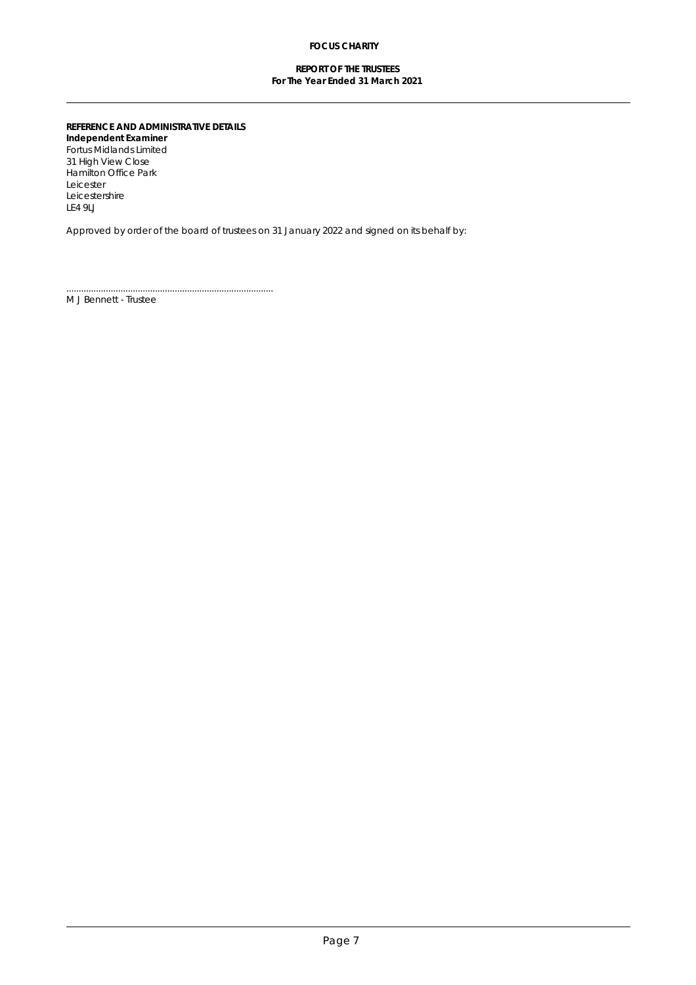## **REPORT OF THE TRUSTEES For The Year Ended 31 March 2021**

**REFERENCE AND ADMINISTRATIVE DETAILS Independent Examiner** Fortus Midlands Limited 31 High View Close Hamilton Office Park Leicester Leicestershire LE4 9LJ

....................................................................................

Approved by order of the board of trustees on 31 January 2022 and signed on its behalf by:

M J Bennett - Trustee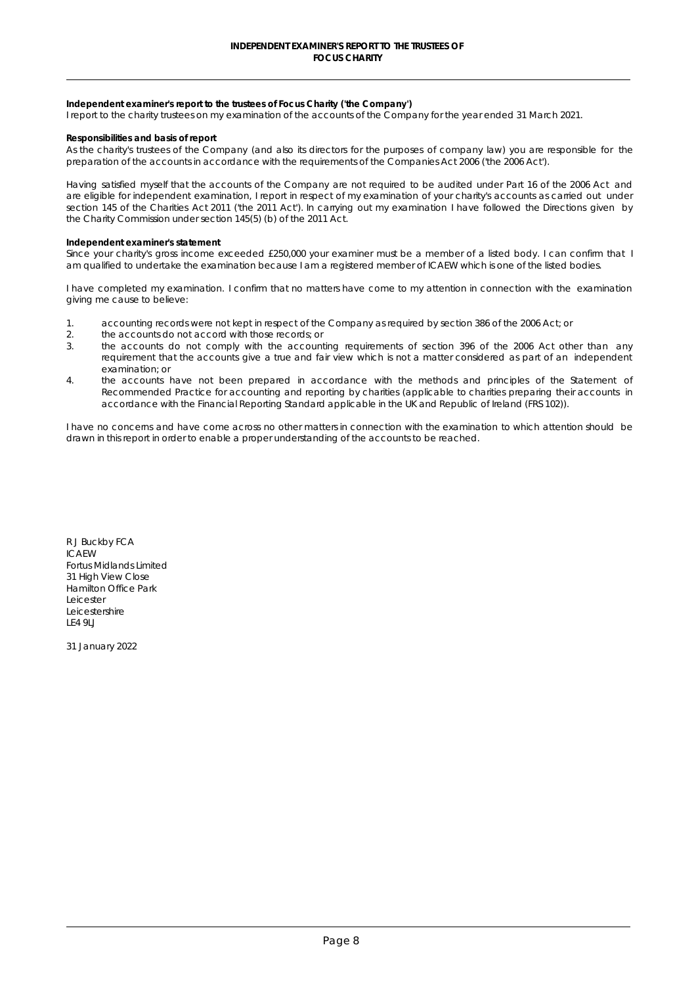**Independent examiner's report to the trustees of Focus Charity ('the Company')** 

I report to the charity trustees on my examination of the accounts of the Company for the year ended 31 March 2021.

**Responsibilities and basis of report** 

As the charity's trustees of the Company (and also its directors for the purposes of company law) you are responsible for the preparation of the accounts in accordance with the requirements of the Companies Act 2006 ('the 2006 Act').

Having satisfied myself that the accounts of the Company are not required to be audited under Part 16 of the 2006 Act and are eligible for independent examination, I report in respect of my examination of your charity's accounts as carried out under section 145 of the Charities Act 2011 ('the 2011 Act'). In carrying out my examination I have followed the Directions given by the Charity Commission under section 145(5) (b) of the 2011 Act.

#### **Independent examiner's statement**

Since your charity's gross income exceeded £250,000 your examiner must be a member of a listed body. I can confirm that I am qualified to undertake the examination because I am a registered member of ICAEW which is one of the listed bodies.

I have completed my examination. I confirm that no matters have come to my attention in connection with the examination giving me cause to believe:

- 1. accounting records were not kept in respect of the Company as required by section 386 of the 2006 Act; or
- 2. the accounts do not accord with those records; or
- 3. the accounts do not comply with the accounting requirements of section 396 of the 2006 Act other than any requirement that the accounts give a true and fair view which is not a matter considered as part of an independent examination; or
- 4. the accounts have not been prepared in accordance with the methods and principles of the Statement of Recommended Practice for accounting and reporting by charities (applicable to charities preparing their accounts in accordance with the Financial Reporting Standard applicable in the UK and Republic of Ireland (FRS 102)).

I have no concerns and have come across no other matters in connection with the examination to which attention should be drawn in this report in order to enable a proper understanding of the accounts to be reached.

R J Buckby FCA ICAEW Fortus Midlands Limited 31 High View Close Hamilton Office Park Leicester **Leicestershire** LE4 9LJ

31 January 2022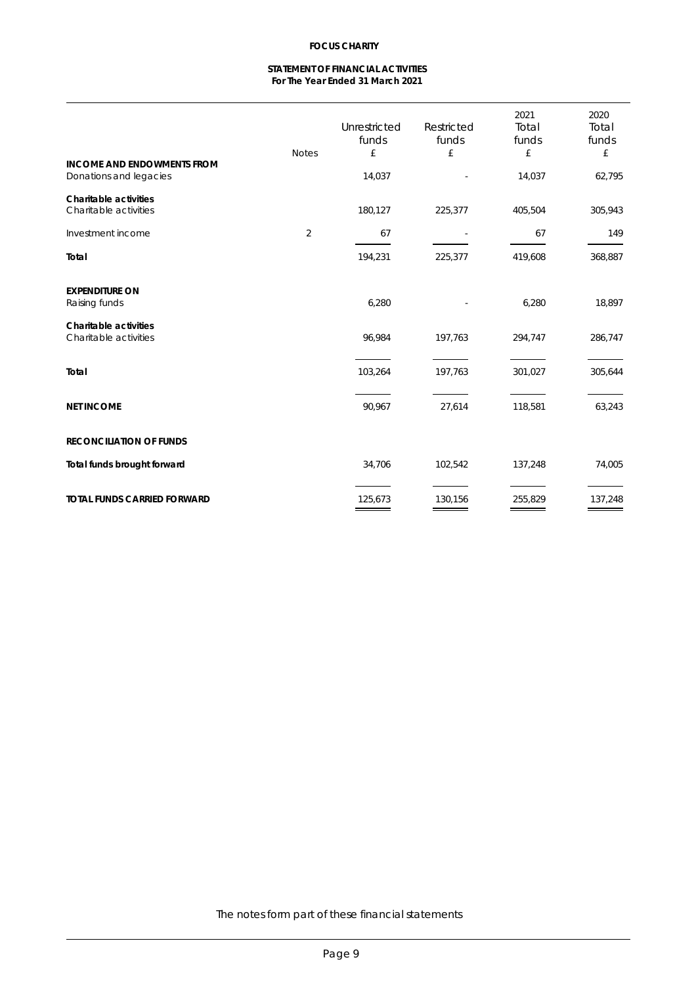## **STATEMENT OF FINANCIAL ACTIVITIES For The Year Ended 31 March 2021**

|                                                                    | <b>Notes</b> | <b>Unrestricted</b><br>funds<br>£ | <b>Restricted</b><br>funds<br>£ | 2021<br><b>Total</b><br>funds<br>£ | 2020<br><b>Total</b><br>funds<br>£ |
|--------------------------------------------------------------------|--------------|-----------------------------------|---------------------------------|------------------------------------|------------------------------------|
| <b>INCOME AND ENDOWMENTS FROM</b><br><b>Donations and legacies</b> |              | 14,037                            | $\blacksquare$                  | 14,037                             | 62,795                             |
| <b>Charitable activities</b><br><b>Charitable activities</b>       |              | 180,127                           | 225,377                         | 405,504                            | 305,943                            |
| <b>Investment income</b>                                           | $\mathbf{z}$ | 67                                |                                 | 67                                 | 149                                |
| <b>Total</b>                                                       |              | 194,231                           | 225,377                         | 419,608                            | 368,887                            |
| <b>EXPENDITURE ON</b><br><b>Raising funds</b>                      |              | 6,280                             |                                 | 6,280                              | 18,897                             |
| <b>Charitable activities</b><br><b>Charitable activities</b>       |              | 96,984                            | 197,763                         | 294,747                            | 286,747                            |
| <b>Total</b>                                                       |              | 103,264                           | 197,763                         | 301,027                            | 305,644                            |
| <b>NET INCOME</b>                                                  |              | 90,967                            | 27,614                          | 118,581                            | 63,243                             |
| <b>RECONCILIATION OF FUNDS</b>                                     |              |                                   |                                 |                                    |                                    |
| <b>Total funds brought forward</b>                                 |              | 34,706                            | 102,542                         | 137,248                            | 74,005                             |
| <b>TOTAL FUNDS CARRIED FORWARD</b>                                 |              | 125,673                           | 130,156                         | 255,829                            | 137,248                            |

The notes form part of these financial statements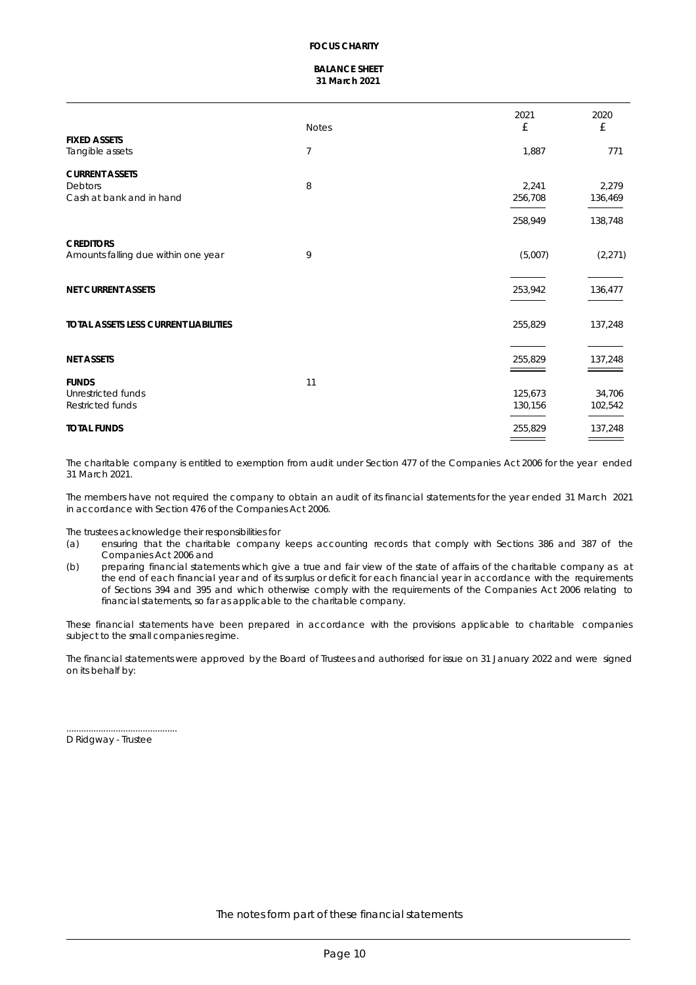## **BALANCE SHEET 31 March 2021**

| £<br>£<br><b>Notes</b><br><b>FIXED ASSETS</b><br>7<br>1,887<br>8<br>2,241<br>256,708<br>258,949<br>9<br>(5,007)<br>253,942<br>255,829<br>255,829<br>_____<br>$\sim$ $\sim$<br>11 |                                              | 2021 | 2020     |
|----------------------------------------------------------------------------------------------------------------------------------------------------------------------------------|----------------------------------------------|------|----------|
|                                                                                                                                                                                  |                                              |      |          |
|                                                                                                                                                                                  | <b>Tangible assets</b>                       |      | 771      |
|                                                                                                                                                                                  | <b>CURRENT ASSETS</b>                        |      |          |
|                                                                                                                                                                                  | <b>Debtors</b>                               |      | 2,279    |
|                                                                                                                                                                                  | Cash at bank and in hand                     |      | 136,469  |
|                                                                                                                                                                                  |                                              |      | 138,748  |
|                                                                                                                                                                                  | <b>CREDITORS</b>                             |      |          |
|                                                                                                                                                                                  | Amounts falling due within one year          |      | (2, 271) |
|                                                                                                                                                                                  | <b>NET CURRENT ASSETS</b>                    |      | 136,477  |
|                                                                                                                                                                                  | <b>TOTAL ASSETS LESS CURRENT LIABILITIES</b> |      | 137,248  |
|                                                                                                                                                                                  | <b>NET ASSETS</b>                            |      | 137,248  |
|                                                                                                                                                                                  | <b>FUNDS</b>                                 |      |          |
| 125,673                                                                                                                                                                          | <b>Unrestricted funds</b>                    |      | 34,706   |
| 130,156                                                                                                                                                                          | <b>Restricted funds</b>                      |      | 102,542  |
| 255,829                                                                                                                                                                          | <b>TOTAL FUNDS</b>                           |      | 137,248  |

The charitable company is entitled to exemption from audit under Section 477 of the Companies Act 2006 for the year ended 31 March 2021.

The members have not required the company to obtain an audit of its financial statements for the year ended 31 March 2021 in accordance with Section 476 of the Companies Act 2006.

The trustees acknowledge their responsibilities for

- (a) ensuring that the charitable company keeps accounting records that comply with Sections 386 and 387 of the Companies Act 2006 and
- (b) preparing financial statements which give a true and fair view of the state of affairs of the charitable company as at the end of each financial year and of its surplus or deficit for each financial year in accordance with the requirements of Sections 394 and 395 and which otherwise comply with the requirements ofthe Companies Act 2006 relating to financial statements, so far as applicable to the charitable company.

These financial statements have been prepared in accordance with the provisions applicable to charitable companies subject to the small companies regime.

The financial statements were approved by the Board of Trustees and authorised for issue on 31 January 2022 and were signed on its behalf by:

D Ridgway - Trustee

.............................................

The notes form part of these financial statements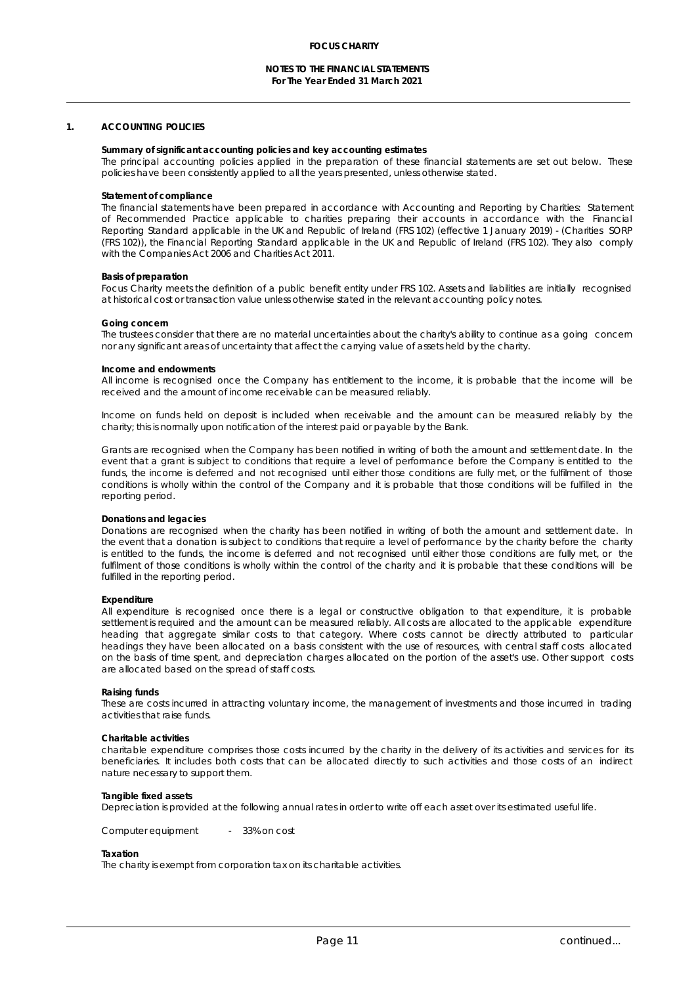## **1. ACCOUNTING POLICIES**

**Summary of significant accounting policies and key accounting estimates**  The principal accounting policies applied in the preparation of these financial statements are set out below. These policies have been consistently applied to all the years presented, unless otherwise stated.

#### **Statement of compliance**

The financial statements have been prepared in accordance with Accounting and Reporting by Charities: Statement of Recommended Practice applicable to charities preparing their accounts in accordance with the Financial Reporting Standard applicable in the UK and Republic of Ireland (FRS 102) (effective 1 January 2019) - (Charities SORP (FRS 102)), the Financial Reporting Standard applicable in the UK and Republic of Ireland (FRS 102). They also comply with the Companies Act 2006 and Charities Act 2011.

#### **Basis of preparation**

Focus Charity meets the definition of a public benefit entity under FRS 102. Assets and liabilities are initially recognised at historical cost or transaction value unless otherwise stated in the relevant accounting policy notes.

#### **Going concern**

The trustees consider that there are no material uncertainties about the charity's ability to continue as a going concern nor any significant areas of uncertainty that affect the carrying value of assets held by the charity.

#### **Income and endowments**

All income is recognised once the Company has entitlement to the income, it is probable that the income will be received and the amount of income receivable can be measured reliably.

Income on funds held on deposit is included when receivable and the amount can be measured reliably by the charity; this is normally upon notification of the interest paid or payable by the Bank.

Grants are recognised when the Company has been notified in writing of both the amount and settlement date. In the event that a grant is subject to conditions that require a level of performance before the Company is entitled to the funds, the income is deferred and not recognised until either those conditions are fully met, or the fulfilment of those conditions is wholly within the control of the Company and it is probable that those conditions will be fulfilled in the reporting period.

#### **Donations and legacies**

Donations are recognised when the charity has been notified in writing of both the amount and settlement date. In the event that a donation is subject to conditions that require a level of performance by the charity before the charity is entitled to the funds, the income is deferred and not recognised until either those conditions are fully met, or the fulfilment of those conditions is wholly within the control of the charity and it is probable that these conditions will be fulfilled in the reporting period.

#### **Expenditure**

All expenditure is recognised once there is a legal or constructive obligation to that expenditure, it is probable settlement is required and the amount can be measured reliably. Allcosts are allocated to the applicable expenditure heading that aggregate similar costs to that category. Where costs cannot be directly attributed to particular headings they have been allocated on a basis consistent with the use of resources, with central staff costs allocated on the basis of time spent, and depreciation charges allocated on the portion of the asset's use. Other support costs are allocated based on the spread of staff costs.

#### **Raising funds**

These are costs incurred in attracting voluntary income, the management of investments and those incurred in trading activities that raise funds.

### **Charitable activities**

charitable expenditure comprises those costs incurred by the charity in the delivery of its activities and services for its beneficiaries. It includes both costs that can be allocated directly to such activities and those costs of an indirect nature necessary to support them.

#### **Tangible fixed assets**

Depreciation is provided at the following annual rates in order to write off each asset over its estimated useful life.

Computer equipment - 33% on cost

### **Taxation**

The charity is exempt from corporation tax on its charitable activities.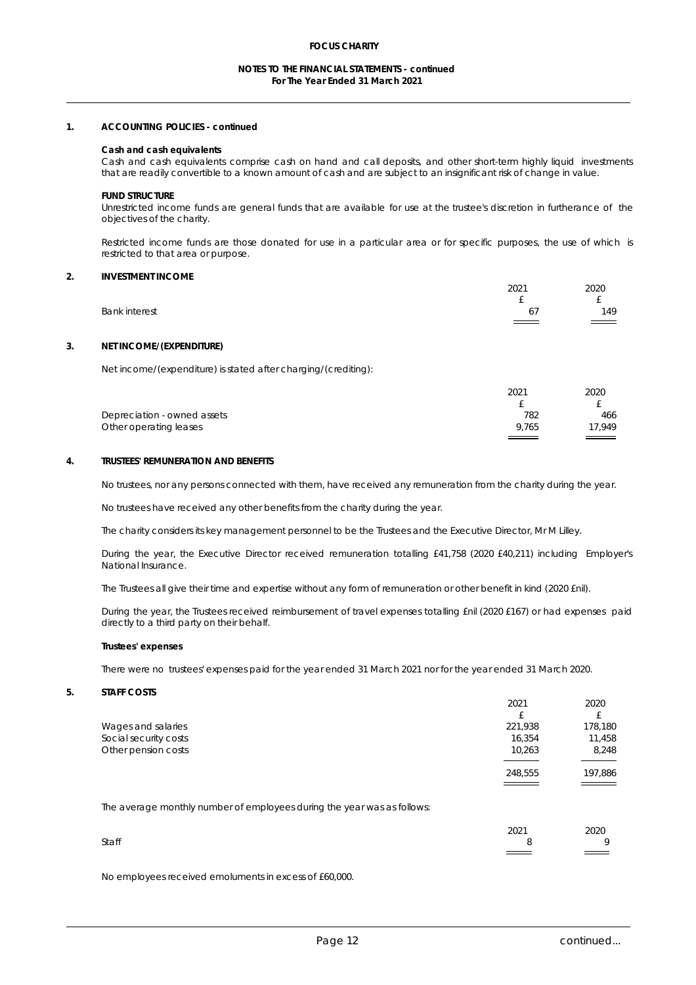### **NOTES TO THE FINANCIAL STATEMENTS - continued For The Year Ended 31 March 2021**

## **1. ACCOUNTING POLICIES - continued**

#### **Cash and cash equivalents**

Cash and cash equivalents comprise cash on hand and call deposits, and other short-term highly liquid investments that are readily convertible to a known amount of cash and are subject to an insignificant risk of change in value.

**FUND STRUCTURE** 

Unrestricted income funds are general funds that are available for use at the trustee's discretion in furtherance of the objectives of the charity.

Restricted income funds are those donated for use in a particular area or for specific purposes, the use of which is restricted to that area or purpose.

### **2. INVESTMENT INCOME**

|                      | 2021                     | 2020              |
|----------------------|--------------------------|-------------------|
|                      | -                        |                   |
| <b>Bank interest</b> | 67                       | 149               |
|                      | $\overline{\phantom{a}}$ | $\qquad \qquad =$ |
|                      |                          |                   |

## **3. NET INCOME/(EXPENDITURE)**

Net income/(expenditure) is stated after charging/(crediting):

|                                    | 2021                                        | 2020                              |  |
|------------------------------------|---------------------------------------------|-----------------------------------|--|
|                                    |                                             |                                   |  |
| <b>Depreciation - owned assets</b> | 782                                         | 466                               |  |
| <b>Other operating leases</b>      | 9.765                                       | 17,949                            |  |
|                                    | and the control of the control of<br>______ | the control of the control of the |  |

## **4. TRUSTEES' REMUNERATION AND BENEFITS**

No trustees, nor any persons connected with them, have received any remuneration from the charity during the year.

No trustees have received any other benefits from the charity during the year.

The charity considers its key management personnel to be the Trustees and the Executive Director, Mr M Lilley.

During the year, the Executive Director received remuneration totalling £41,758 (2020 £40,211) including Employer's National Insurance.

The Trustees all give their time and expertise without any form of remuneration or other benefit in kind (2020 £nil).

During the year, the Trustees received reimbursement of travel expenses totalling £nil (2020 £167) or had expenses paid directly to a third party on their behalf.

#### **Trustees' expenses**

There were no trustees' expenses paid for the year ended 31 March 2021 nor for the year ended 31 March 2020.

**5. STAFF COSTS** 

|                            | 2021    | 2020    |  |
|----------------------------|---------|---------|--|
|                            | £       |         |  |
| <b>Wages and salaries</b>  | 221,938 | 178,180 |  |
| Social security costs      | 16,354  | 11,458  |  |
| <b>Other pension costs</b> | 10,263  | 8,248   |  |
|                            |         |         |  |
|                            | 248,555 | 197,886 |  |
|                            | _____   | ____    |  |

The average monthly number of employees during the year was as follows:

|              | 2021 | 2020                                        |  |
|--------------|------|---------------------------------------------|--|
| <b>Staff</b> |      |                                             |  |
|              |      | $\overline{\phantom{a}}$<br>_____<br>______ |  |

No employees received emoluments in excess of £60,000.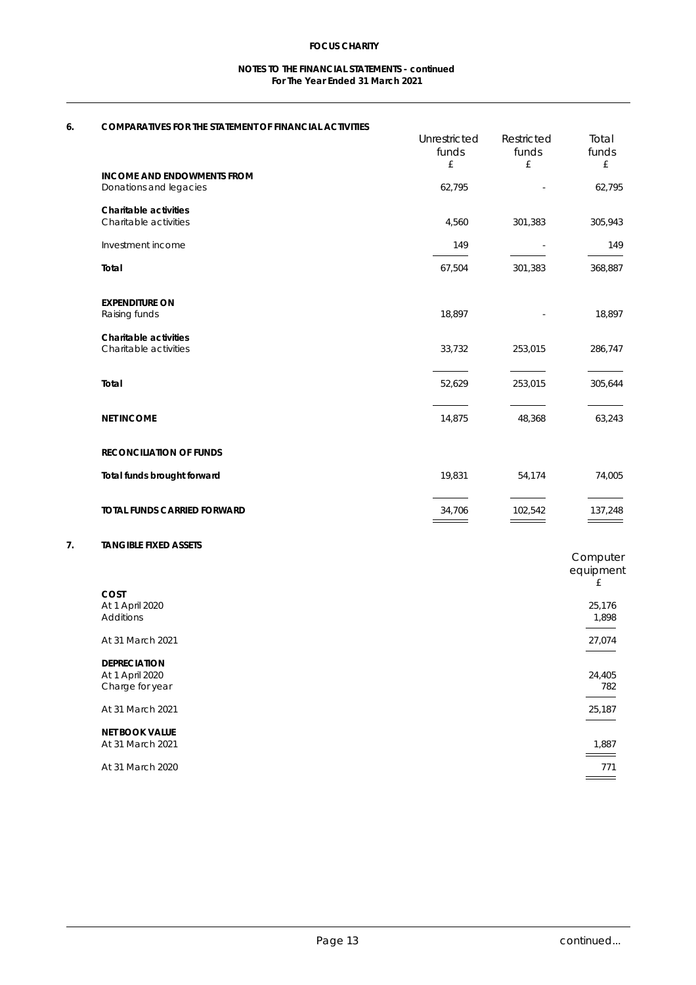## **NOTES TO THE FINANCIAL STATEMENTS - continued For The Year Ended 31 March 2021**

# **6. COMPARATIVES FOR THE STATEMENT OF FINANCIAL ACTIVITIES**

| COMPARANTES FOR THE STATEMENT OF FINANCIAL ACTIVITIES |                     |                   |              |
|-------------------------------------------------------|---------------------|-------------------|--------------|
|                                                       | <b>Unrestricted</b> | <b>Restricted</b> | <b>Total</b> |
|                                                       | funds               | funds             | funds        |
|                                                       | £                   | £                 | £            |
| <b>INCOME AND ENDOWMENTS FROM</b>                     |                     |                   |              |
| <b>Donations and legacies</b>                         | 62,795              | ٠                 | 62,795       |
| <b>Charitable activities</b>                          |                     |                   |              |
| <b>Charitable activities</b>                          | 4,560               | 301,383           | 305,943      |
| <b>Investment income</b>                              | 149                 | ٠                 | 149          |
| <b>Total</b>                                          | 67,504              | 301,383           | 368,887      |
| <b>EXPENDITURE ON</b>                                 |                     |                   |              |
| <b>Raising funds</b>                                  | 18,897              | ٠.                | 18,897       |
| <b>Charitable activities</b>                          |                     |                   |              |
| <b>Charitable activities</b>                          | 33,732              | 253,015           | 286,747      |
|                                                       | 52,629              | 253,015           | 305,644      |
| <b>NET INCOME</b>                                     | 14,875              | 48,368            | 63,243       |
| <b>RECONCILIATION OF FUNDS</b>                        |                     |                   |              |
| <b>Total funds brought forward</b>                    | 19,831              | 54,174            | 74,005       |
|                                                       |                     |                   |              |

## **7. TANGIBLE FIXED ASSETS**

|                         | <b>Computer</b> |
|-------------------------|-----------------|
|                         | equipment       |
|                         | £               |
| <b>COST</b>             |                 |
| <b>At 1 April 2020</b>  | 25,176          |
| <b>Additions</b>        | 1,898           |
|                         |                 |
| <b>At 31 March 2021</b> | 27,074          |
|                         |                 |
| <b>DEPRECIATION</b>     |                 |
| <b>At 1 April 2020</b>  | 24,405          |
| <b>Charge for year</b>  | 782             |
| <b>At 31 March 2021</b> | 25,187          |
|                         |                 |
| <b>NET BOOK VALUE</b>   |                 |
| <b>At 31 March 2021</b> | 1,887           |
|                         | _____           |
| <b>At 31 March 2020</b> | 771             |
|                         |                 |
|                         |                 |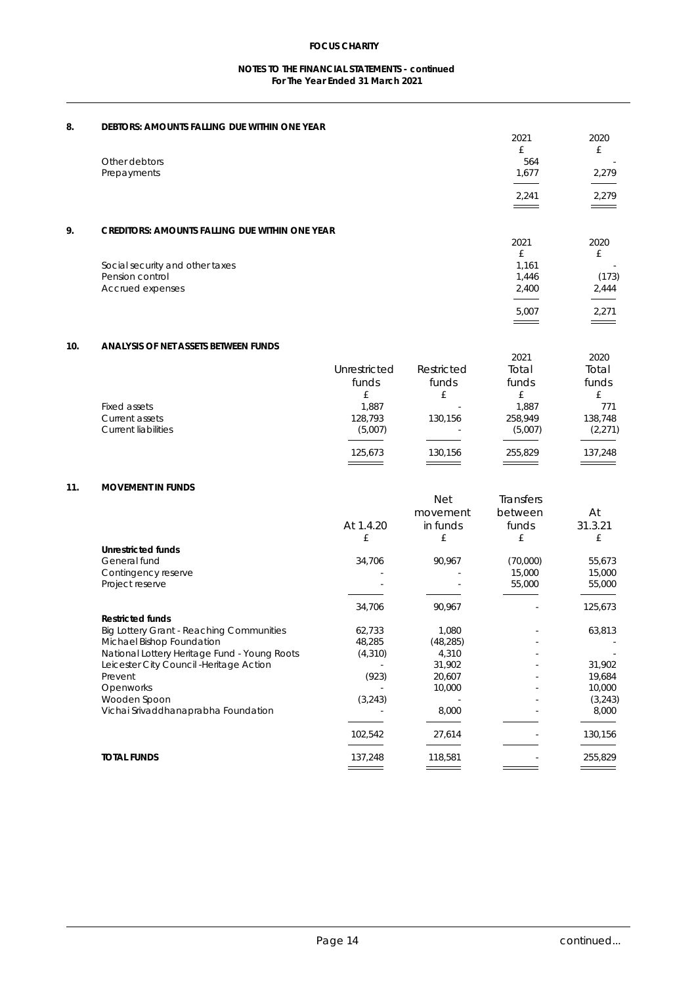## **NOTES TO THE FINANCIAL STATEMENTS - continued For The Year Ended 31 March 2021**

| 8.                   | <b>DEBTORS: AMOUNTS FALLING DUE WITHIN ONE YEAR</b>   |        |        |
|----------------------|-------------------------------------------------------|--------|--------|
|                      |                                                       | 2021   | 2020   |
|                      |                                                       | £      | £      |
| <b>Other debtors</b> |                                                       | 564    | ٠      |
| <b>Prepayments</b>   |                                                       | 1,677  | 2,279  |
|                      |                                                       |        |        |
|                      |                                                       | 2,241  | 2,279  |
|                      |                                                       |        | ______ |
| 9.                   | <b>CREDITORS: AMOUNTS FALLING DUE WITHIN ONE YEAR</b> |        |        |
|                      |                                                       | 2021   | 2020   |
|                      |                                                       | £      | £      |
|                      | Social security and other taxes                       | 1,161  | -      |
|                      | <b>Pension control</b>                                | 1,446  | (173)  |
|                      | <b>Accrued expenses</b>                               | 2,400  | 2,444  |
|                      |                                                       |        |        |
|                      |                                                       | 5,007  | 2,271  |
|                      |                                                       | ______ | $\sim$ |

## **10. ANALYSIS OF NET ASSETS BETWEEN FUNDS**

|                            | <b>Unrestricted</b><br>funds | <b>Restricted</b><br>funds | 2021<br><b>Total</b><br>funds | 2020<br><b>Total</b><br>funds |  |
|----------------------------|------------------------------|----------------------------|-------------------------------|-------------------------------|--|
|                            | £                            | £                          | £                             | £                             |  |
| <b>Fixed assets</b>        | 1,887                        | $\blacksquare$             | 1,887                         | 771                           |  |
| <b>Current assets</b>      | 128,793                      | 130,156                    | 258,949                       | 138,748                       |  |
| <b>Current liabilities</b> | (5,007)                      | ٠                          | (5,007)                       | (2,271)                       |  |
|                            | 125,673                      | 130,156                    | 255,829                       | 137,248                       |  |
|                            |                              |                            |                               |                               |  |

## **11. MOVEMENT IN FUNDS**

|                                                     |                | <b>Net</b><br>movement | <b>Transfers</b><br>between | At      |  |
|-----------------------------------------------------|----------------|------------------------|-----------------------------|---------|--|
|                                                     | At 1.4.20      | in funds               | <b>funds</b>                | 31.3.21 |  |
|                                                     | £              | £                      | £                           | £       |  |
| <b>Unrestricted funds</b>                           |                |                        |                             |         |  |
| <b>General fund</b>                                 | 34,706         | 90,967                 | (70,000)                    | 55,673  |  |
| <b>Contingency reserve</b>                          |                |                        | 15,000                      | 15,000  |  |
| <b>Project reserve</b>                              | $\blacksquare$ |                        | 55,000                      | 55,000  |  |
|                                                     | 34,706         | 90,967                 |                             | 125,673 |  |
| <b>Restricted funds</b>                             |                |                        |                             |         |  |
| <b>Big Lottery Grant - Reaching Communities</b>     | 62,733         | 1,080                  |                             | 63,813  |  |
| <b>Michael Bishop Foundation</b>                    | 48,285         | (48, 285)              |                             |         |  |
| <b>National Lottery Heritage Fund - Young Roots</b> | (4, 310)       | 4,310                  |                             |         |  |
| Leicester City Council - Heritage Action            |                | 31,902                 |                             | 31,902  |  |
| <b>Prevent</b>                                      | (923)          | 20,607                 |                             | 19,684  |  |
| <b>Openworks</b>                                    |                | 10,000                 |                             | 10,000  |  |
| <b>Wooden Spoon</b>                                 | (3,243)        |                        |                             | (3,243) |  |
| Vichai Srivaddhanaprabha Foundation                 |                | 8,000                  |                             | 8,000   |  |
|                                                     | 102,542        | 27,614                 |                             | 130,156 |  |
| <b>TOTAL FUNDS</b>                                  | 137,248        | 118,581                |                             | 255,829 |  |
|                                                     |                |                        |                             |         |  |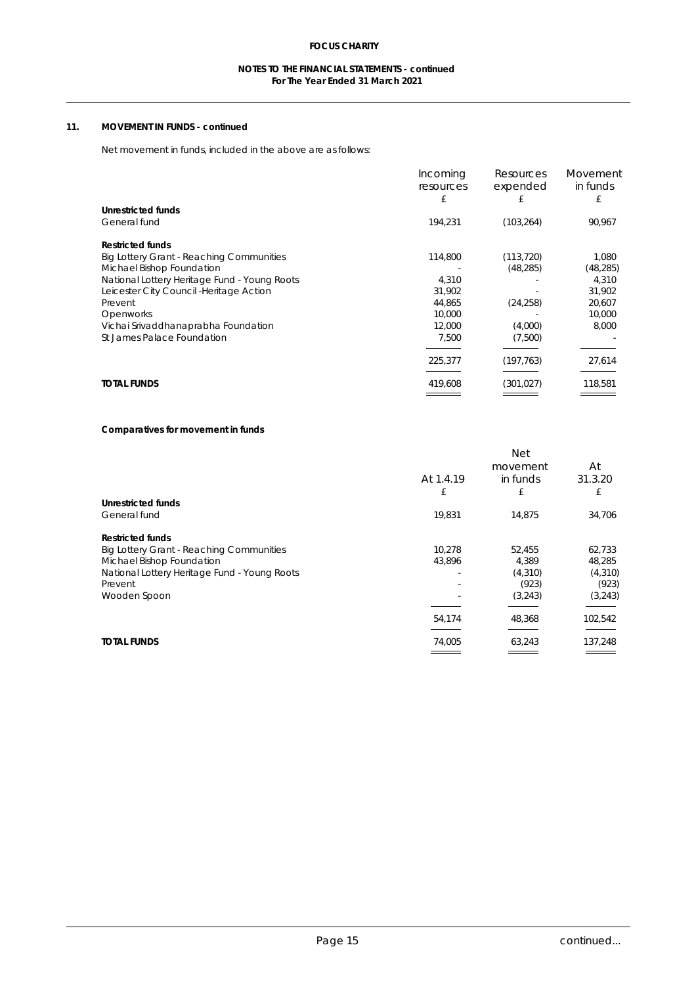## **NOTES TO THE FINANCIAL STATEMENTS - continued For The Year Ended 31 March 2021**

## **11. MOVEMENT IN FUNDS - continued**

## Net movement in funds, included in the above are as follows:

|                                                     | <b>Incoming</b><br><b>resources</b> | <b>Resources</b><br>expended | <b>Movement</b><br>in funds |
|-----------------------------------------------------|-------------------------------------|------------------------------|-----------------------------|
| <b>Unrestricted funds</b>                           | £                                   | £                            | £                           |
|                                                     |                                     |                              |                             |
| <b>General fund</b>                                 | 194,231                             | (103, 264)                   | 90,967                      |
| <b>Restricted funds</b>                             |                                     |                              |                             |
| <b>Big Lottery Grant - Reaching Communities</b>     | 114,800                             | (113, 720)                   | 1,080                       |
| <b>Michael Bishop Foundation</b>                    |                                     | (48, 285)                    | (48, 285)                   |
| <b>National Lottery Heritage Fund - Young Roots</b> | 4,310                               |                              | 4,310                       |
| <b>Leicester City Council -Heritage Action</b>      | 31,902                              |                              | 31,902                      |
| <b>Prevent</b>                                      | 44,865                              | (24, 258)                    | 20,607                      |
| <b>Openworks</b>                                    | 10,000                              |                              | 10,000                      |
| Vichai Srivaddhanaprabha Foundation                 | 12,000                              | (4,000)                      | 8,000                       |
| <b>St James Palace Foundation</b>                   | 7,500                               | (7,500)                      |                             |
|                                                     | 225,377                             | (197, 763)                   | 27,614                      |
| <b>TOTAL FUNDS</b>                                  | 419,608                             | (301, 027)                   | 118,581                     |
|                                                     |                                     |                              |                             |

## **Comparatives for movement in funds**

|                                                     |                | <b>Net</b> |          |
|-----------------------------------------------------|----------------|------------|----------|
|                                                     |                | movement   | At       |
|                                                     | At 1.4.19      | in funds   | 31.3.20  |
|                                                     | £              | £          | £        |
| <b>Unrestricted funds</b>                           |                |            |          |
| <b>General fund</b>                                 | 19,831         | 14,875     | 34,706   |
| <b>Restricted funds</b>                             |                |            |          |
| <b>Big Lottery Grant - Reaching Communities</b>     | 10,278         | 52,455     | 62,733   |
| <b>Michael Bishop Foundation</b>                    | 43,896         | 4,389      | 48,285   |
| <b>National Lottery Heritage Fund - Young Roots</b> |                | (4, 310)   | (4, 310) |
| <b>Prevent</b>                                      | $\blacksquare$ | (923)      | (923)    |
| <b>Wooden Spoon</b>                                 |                | (3,243)    | (3,243)  |
|                                                     | 54,174         | 48,368     | 102,542  |
| <b>TOTAL FUNDS</b>                                  | 74,005         | 63,243     | 137,248  |
|                                                     |                |            |          |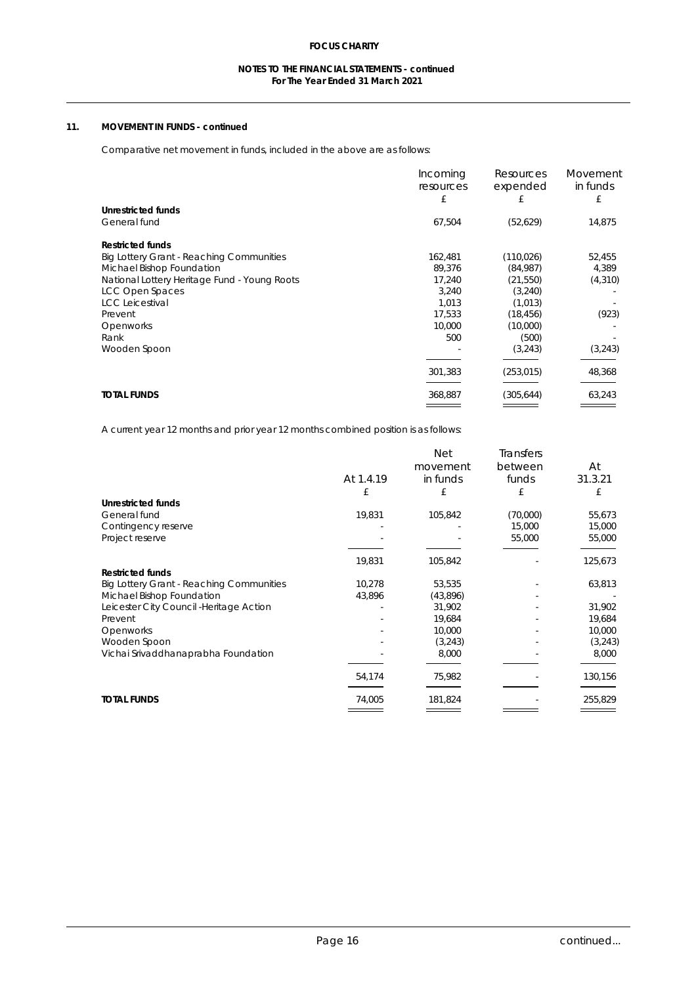## **NOTES TO THE FINANCIAL STATEMENTS - continued For The Year Ended 31 March 2021**

## **11. MOVEMENT IN FUNDS - continued**

## Comparative net movement in funds, included in the above are as follows:

|                                                     | <b>Incoming</b><br><b>resources</b><br>£ | <b>Resources</b><br>expended<br>£ | <b>Movement</b><br>in funds<br>£ |
|-----------------------------------------------------|------------------------------------------|-----------------------------------|----------------------------------|
| <b>Unrestricted funds</b>                           |                                          |                                   |                                  |
| <b>General fund</b>                                 | 67,504                                   | (52, 629)                         | 14,875                           |
| <b>Restricted funds</b>                             |                                          |                                   |                                  |
| <b>Big Lottery Grant - Reaching Communities</b>     | 162,481                                  | (110, 026)                        | 52,455                           |
| <b>Michael Bishop Foundation</b>                    | 89,376                                   | (84,987)                          | 4,389                            |
| <b>National Lottery Heritage Fund - Young Roots</b> | 17,240                                   | (21, 550)                         | (4, 310)                         |
| <b>LCC Open Spaces</b>                              | 3,240                                    | (3,240)                           |                                  |
| <b>LCC Leicestival</b>                              | 1,013                                    | (1, 013)                          |                                  |
| <b>Prevent</b>                                      | 17,533                                   | (18, 456)                         | (923)                            |
| <b>Openworks</b>                                    | 10,000                                   | (10,000)                          |                                  |
| Rank                                                | 500                                      | (500)                             |                                  |
| <b>Wooden Spoon</b>                                 |                                          | (3,243)                           | (3,243)                          |
|                                                     | 301,383                                  | (253, 015)                        | 48,368                           |
| <b>TOTAL FUNDS</b>                                  | 368,887                                  | (305, 644)                        | 63,243                           |
|                                                     |                                          |                                   |                                  |

A current year 12 months and prior year 12 months combined position is as follows:

|                                                 |           | <b>Net</b><br>movement | <b>Transfers</b><br><b>between</b> | At      |
|-------------------------------------------------|-----------|------------------------|------------------------------------|---------|
|                                                 | At 1.4.19 | in funds               | <b>funds</b>                       | 31.3.21 |
|                                                 | £         | £                      | £                                  | £       |
| <b>Unrestricted funds</b>                       |           |                        |                                    |         |
| <b>General fund</b>                             | 19,831    | 105,842                | (70,000)                           | 55,673  |
| <b>Contingency reserve</b>                      |           |                        | 15,000                             | 15,000  |
| <b>Project reserve</b>                          |           |                        | 55,000                             | 55,000  |
|                                                 | 19,831    | 105,842                | ٠                                  | 125,673 |
| <b>Restricted funds</b>                         |           |                        |                                    |         |
| <b>Big Lottery Grant - Reaching Communities</b> | 10,278    | 53,535                 | ٠                                  | 63,813  |
| <b>Michael Bishop Foundation</b>                | 43,896    | (43,896)               | ٠                                  |         |
| Leicester City Council - Heritage Action        |           | 31,902                 | ٠                                  | 31,902  |
| <b>Prevent</b>                                  |           | 19,684                 |                                    | 19,684  |
| <b>Openworks</b>                                |           | 10,000                 |                                    | 10,000  |
| <b>Wooden Spoon</b>                             |           | (3,243)                | ٠                                  | (3,243) |
| Vichai Srivaddhanaprabha Foundation             |           | 8,000                  |                                    | 8,000   |
|                                                 | 54,174    | 75,982                 |                                    | 130,156 |
| <b>TOTAL FUNDS</b>                              | 74,005    | 181,824                |                                    | 255,829 |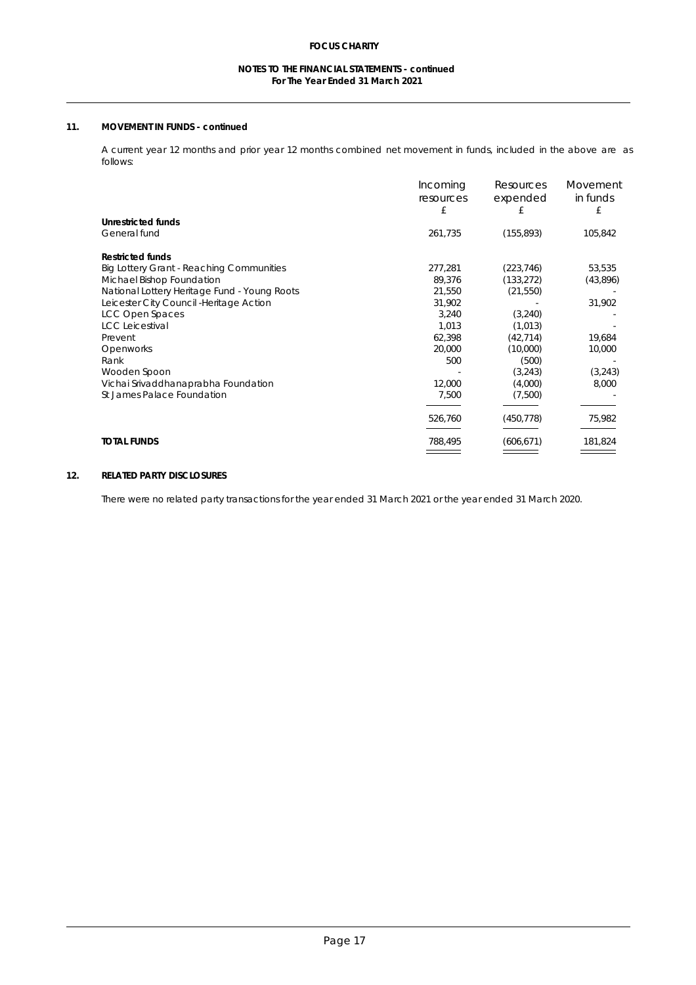## **NOTES TO THE FINANCIAL STATEMENTS - continued For The Year Ended 31 March 2021**

## **11. MOVEMENT IN FUNDS - continued**

A current year 12 months and prior year 12 months combined net movement in funds, included in the above are as follows:

|                                                     | <b>Incoming</b><br><b>resources</b> | <b>Resources</b><br>expended | <b>Movement</b><br>in funds |
|-----------------------------------------------------|-------------------------------------|------------------------------|-----------------------------|
|                                                     | £                                   | £                            | £                           |
| <b>Unrestricted funds</b>                           |                                     |                              |                             |
| <b>General fund</b>                                 | 261,735                             | (155, 893)                   | 105,842                     |
| <b>Restricted funds</b>                             |                                     |                              |                             |
| <b>Big Lottery Grant - Reaching Communities</b>     | 277,281                             | (223, 746)                   | 53,535                      |
| <b>Michael Bishop Foundation</b>                    | 89,376                              | (133, 272)                   | (43,896)                    |
| <b>National Lottery Heritage Fund - Young Roots</b> | 21,550                              | (21, 550)                    |                             |
| Leicester City Council - Heritage Action            | 31,902                              |                              | 31,902                      |
| <b>LCC Open Spaces</b>                              | 3,240                               | (3,240)                      |                             |
| <b>LCC Leicestival</b>                              | 1,013                               | (1, 013)                     |                             |
| <b>Prevent</b>                                      | 62,398                              | (42, 714)                    | 19,684                      |
| <b>Openworks</b>                                    | 20,000                              | (10,000)                     | 10,000                      |
| Rank                                                | 500                                 | (500)                        |                             |
| <b>Wooden Spoon</b>                                 |                                     | (3,243)                      | (3,243)                     |
| Vichai Srivaddhanaprabha Foundation                 | 12,000                              | (4,000)                      | 8,000                       |
| <b>St James Palace Foundation</b>                   | 7,500                               | (7,500)                      |                             |
|                                                     | 526,760                             | (450, 778)                   | 75,982                      |
| <b>TOTAL FUNDS</b>                                  | 788,495                             | (606, 671)                   | 181,824                     |
|                                                     |                                     |                              |                             |

## **12. RELATED PARTY DISCLOSURES**

There were no related party transactions for the year ended 31 March 2021 or the year ended 31 March 2020.